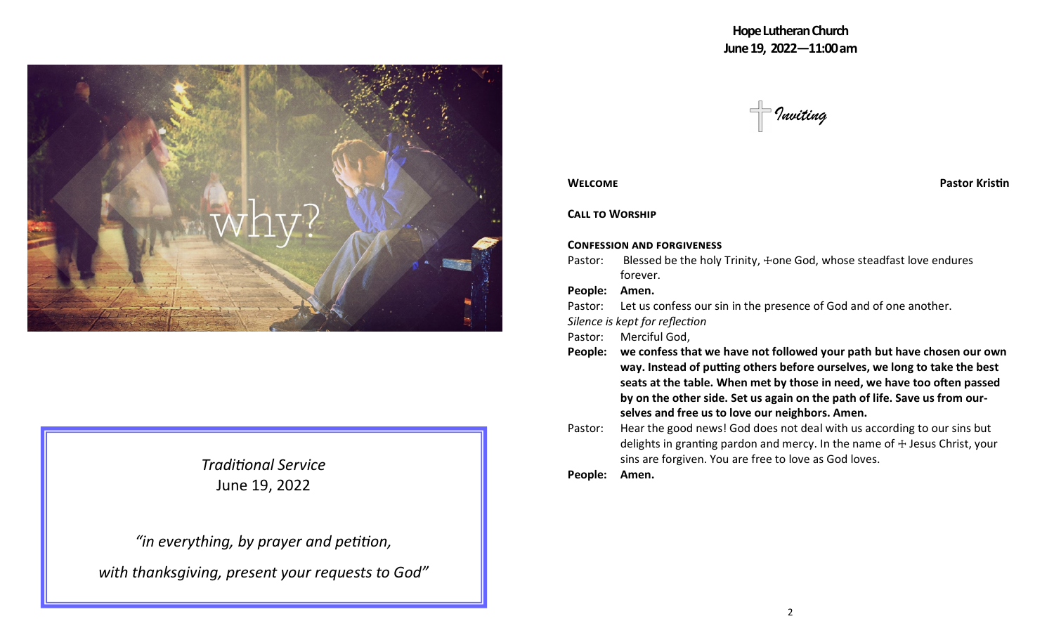

# *Tradional Service* June 19, 2022

*"in everything, by prayer and petition,* 

*with thanksgiving, present your requests to God"*

# **HopeLutheranChurch June19, 2022—11:00am**

*Inviting*

**WELCOME WELCOME Pastor Kristin** 

## **CALL TO WORSHIP**

#### **CONFESSION AND FORGIVENESS**

Pastor: Blessed be the holy Trinity, +one God, whose steadfast love endures forever.

# **People: Amen.**

Pastor: Let us confess our sin in the presence of God and of one another.

*Silence is kept for reflection* 

- Pastor: Merciful God,
- **People: we confess that we have not followed your path but have chosen our own way. Instead of pung others before ourselves, we long to take the best seats at the table. When met by those in need, we have too oen passed by on the other side. Set us again on the path of life. Save us from ourselves and free us to love our neighbors. Amen.**
- Pastor: Hear the good news! God does not deal with us according to our sins but delights in granting pardon and mercy. In the name of  $+$  Jesus Christ, your sins are forgiven. You are free to love as God loves.

**People: Amen.**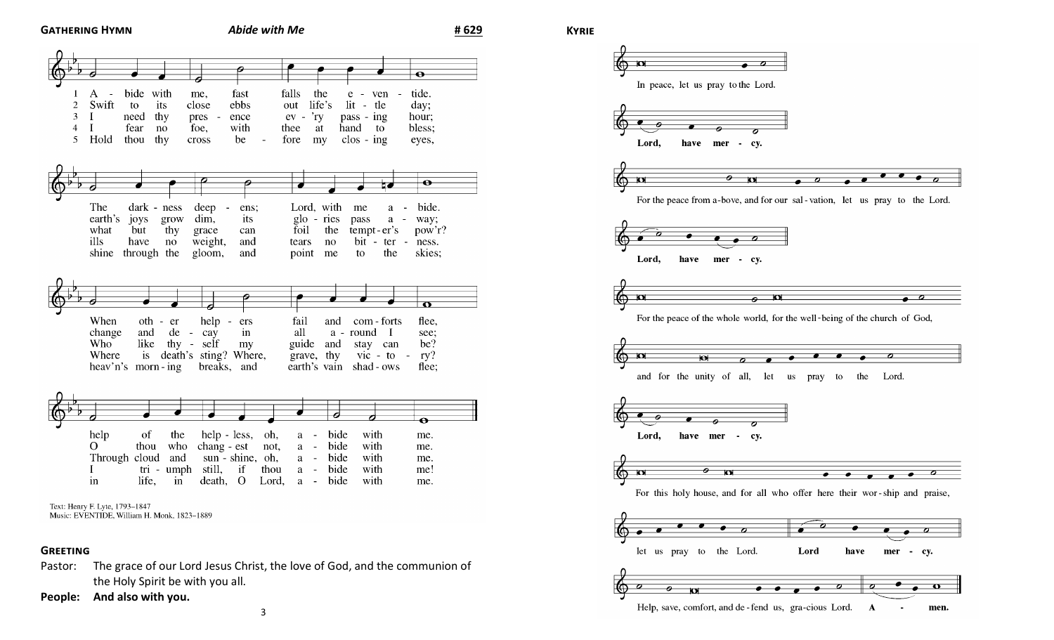**GATHERING HYMN Abide with Me 1629** 

**KYRIE** 



the Holy Spirit be with you all.

**People: And also with you.**

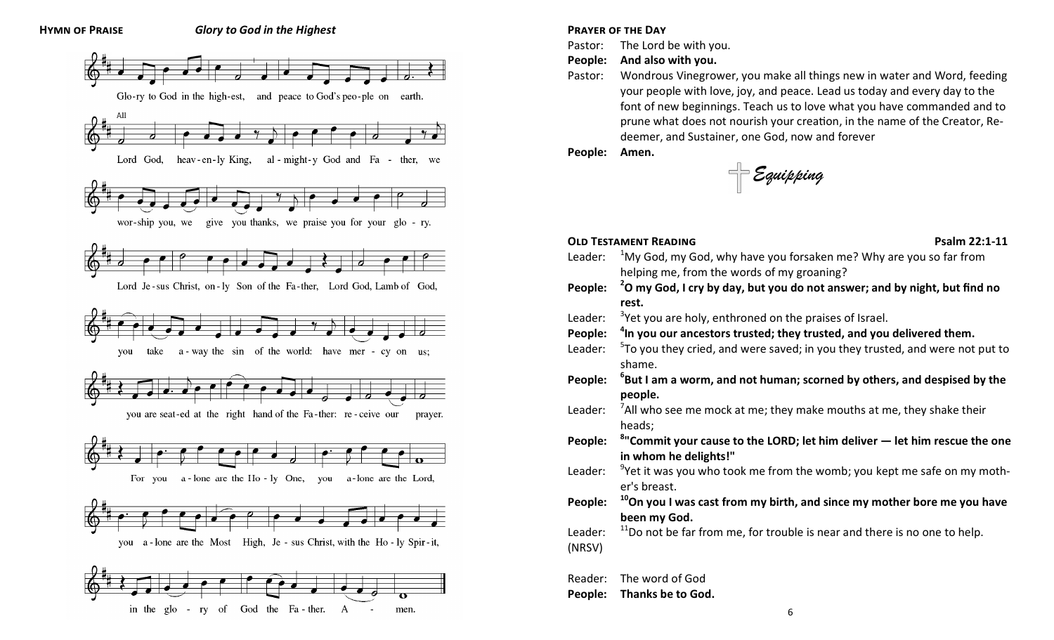# **HYMN OF PRAISE Glory to God in the Highest**



# **PRAYER OF THE DAY**

Pastor: The Lord be with you.

**People: And also with you.**

Pastor: Wondrous Vinegrower, you make all things new in water and Word, feeding your people with love, joy, and peace. Lead us today and every day to the font of new beginnings. Teach us to love what you have commanded and to prune what does not nourish your creation, in the name of the Creator, Redeemer, and Sustainer, one God, now and forever

**People: Amen.**

*Equipping*

| Psalm 22:1-11<br><b>OLD TESTAMENT READING</b> |                                                                                                                              |
|-----------------------------------------------|------------------------------------------------------------------------------------------------------------------------------|
| Leader:                                       | <sup>1</sup> My God, my God, why have you forsaken me? Why are you so far from<br>helping me, from the words of my groaning? |
| People:                                       | <sup>2</sup> O my God, I cry by day, but you do not answer; and by night, but find no<br>rest.                               |
| Leader:                                       | <sup>3</sup> Yet you are holy, enthroned on the praises of Israel.                                                           |
| People:                                       | <sup>4</sup> In you our ancestors trusted; they trusted, and you delivered them.                                             |
| Leader:                                       | $5$ To you they cried, and were saved; in you they trusted, and were not put to<br>shame.                                    |
| People:                                       | <sup>6</sup> But I am a worm, and not human; scorned by others, and despised by the<br>people.                               |
| Leader:                                       | $'$ All who see me mock at me; they make mouths at me, they shake their<br>heads;                                            |
| People:                                       | <sup>8</sup> Commit your cause to the LORD; let him deliver - let him rescue the one<br>in whom he delights!"                |
| Leader:                                       | <sup>9</sup> Yet it was you who took me from the womb; you kept me safe on my moth-<br>er's breast.                          |
| People:                                       | <sup>10</sup> On you I was cast from my birth, and since my mother bore me you have<br>been my God.                          |
| Leader:<br>(NRSV)                             | $11$ Do not be far from me, for trouble is near and there is no one to help.                                                 |
| Reader:<br>People:                            | The word of God<br>Thanks be to God.                                                                                         |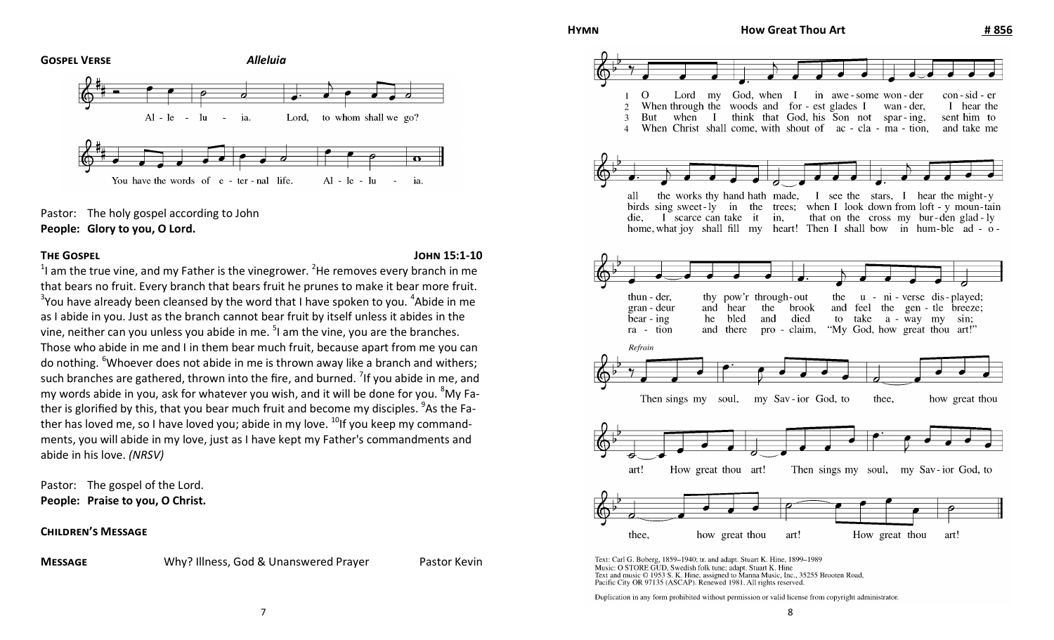

Pastor: The holy gospel according to John **People: Glory to you, O Lord.**

#### **THE GOSPEL** *GOSPEL COSPEL GOSPEL COSPEL GOSPEL COSPEL GOSPEL GOSPEL GOSPEL GOSPEL GOSPEL*

 $<sup>1</sup>$  am the true vine, and my Father is the vinegrower. <sup>2</sup>He removes every branch in me</sup> that bears no fruit. Every branch that bears fruit he prunes to make it bear more fruit. <sup>3</sup>You have already been cleansed by the word that I have spoken to you. <sup>4</sup>Abide in me as I abide in you. Just as the branch cannot bear fruit by itself unless it abides in the vine, neither can you unless you abide in me.  $5$ I am the vine, you are the branches. Those who abide in me and I in them bear much fruit, because apart from me you can do nothing. <sup>6</sup>Whoever does not abide in me is thrown away like a branch and withers; such branches are gathered, thrown into the fire, and burned. <sup>7</sup>If you abide in me, and my words abide in you, ask for whatever you wish, and it will be done for you. <sup>8</sup>My Father is glorified by this, that you bear much fruit and become my disciples. <sup>9</sup>As the Father has loved me, so I have loved you; abide in my love.  $^{10}$ If you keep my commandments, you will abide in my love, just as I have kept my Father's commandments and abide in his love. *(NRSV)*

Pastor: The gospel of the Lord. **People: Praise to you, O Christ.**

**CHILDREN'S MESSAGE** 

**MESSAGE** Why? Illness, God & Unanswered Prayer Pastor Kevin



Text and music © 1953 S. K. Hine, assigned to Manna Music, Inc., 35255 Brooten Road, Pacific City OR 97135 (ASCAP). Renewed 1981. All rights reserved.

Duplication in any form prohibited without permission or valid license from copyright administrator.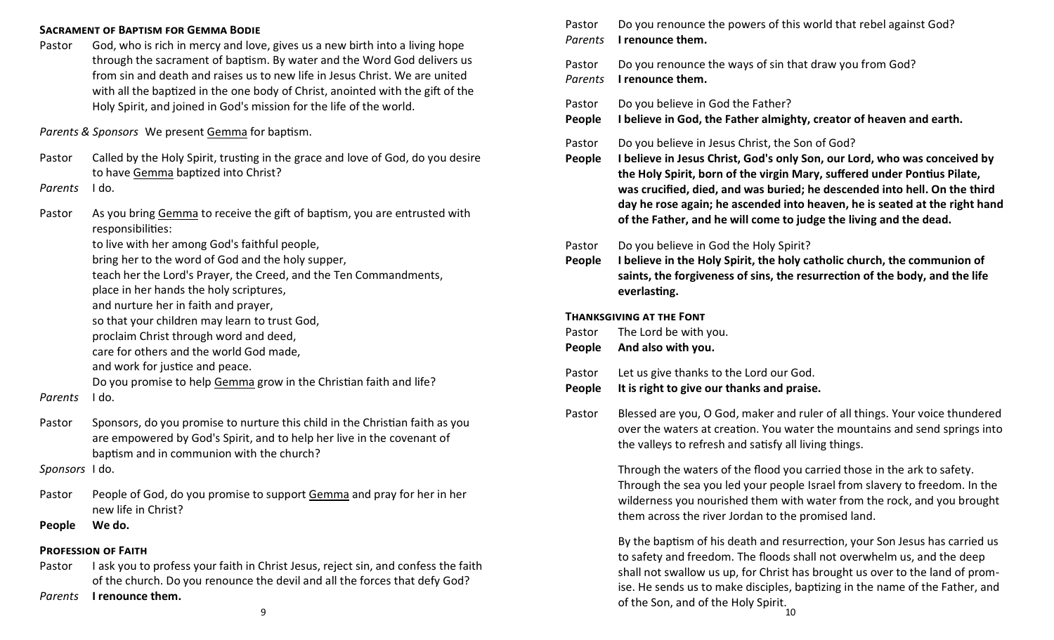# **SACRAMENT OF BAPTISM FOR GEMMA BODIE**

Pastor God, who is rich in mercy and love, gives us a new birth into a living hope through the sacrament of baptism. By water and the Word God delivers us from sin and death and raises us to new life in Jesus Christ. We are united with all the baptized in the one body of Christ, anointed with the gift of the Holy Spirit, and joined in God's mission for the life of the world.

Parents & Sponsors We present Gemma for baptism.

Pastor Called by the Holy Spirit, trusting in the grace and love of God, do you desire to have Gemma baptized into Christ?

*Parents* I do.

- Pastor As you bring Gemma to receive the gift of baptism, you are entrusted with responsibilities: to live with her among God's faithful people,
	- bring her to the word of God and the holy supper,
	- teach her the Lord's Prayer, the Creed, and the Ten Commandments,
	- place in her hands the holy scriptures,
	- and nurture her in faith and prayer,
	- so that your children may learn to trust God,
	- proclaim Christ through word and deed,
	- care for others and the world God made,
	- and work for justice and peace.
	- Do you promise to help Gemma grow in the Christian faith and life?
- *Parents* I do.
- Pastor Sponsors, do you promise to nurture this child in the Christian faith as you are empowered by God's Spirit, and to help her live in the covenant of baptism and in communion with the church?

*Sponsors* I do.

Pastor People of God, do you promise to support Gemma and pray for her in her new life in Christ?

**People We do.**

# **PROFESSION OF FAITH**

- Pastor I ask you to profess your faith in Christ Jesus, reject sin, and confess the faith of the church. Do you renounce the devil and all the forces that defy God?
- *Parents* **I renounce them.**
- Pastor Do you renounce the powers of this world that rebel against God? *Parents* **I renounce them.**
- Pastor Do you renounce the ways of sin that draw you from God?
- *Parents* **I renounce them.**
- Pastor Do you believe in God the Father?
- **People I believe in God, the Father almighty, creator of heaven and earth.**
- Pastor Do you believe in Jesus Christ, the Son of God?
- **People I believe in Jesus Christ, God's only Son, our Lord, who was conceived by the Holy Spirit, born of the virgin Mary, suffered under Ponus Pilate, was crucified, died, and was buried; he descended into hell. On the third day he rose again; he ascended into heaven, he is seated at the right hand of the Father, and he will come to judge the living and the dead.**
- Pastor Do you believe in God the Holy Spirit?
- **People I believe in the Holy Spirit, the holy catholic church, the communion of saints, the forgiveness of sins, the resurrecon of the body, and the life** everlasting.

# **THANKSGIVING AT THE FONT**

- **People And also with you.**
- Pastor Let us give thanks to the Lord our God.
- **People It is right to give our thanks and praise.**
- Pastor Blessed are you, O God, maker and ruler of all things. Your voice thundered over the waters at creation. You water the mountains and send springs into the valleys to refresh and satisfy all living things.

Through the waters of the flood you carried those in the ark to safety. Through the sea you led your people Israel from slavery to freedom. In the wilderness you nourished them with water from the rock, and you brought them across the river Jordan to the promised land.

10 By the baptism of his death and resurrection, your Son Jesus has carried us to safety and freedom. The floods shall not overwhelm us, and the deep shall not swallow us up, for Christ has brought us over to the land of promise. He sends us to make disciples, baptizing in the name of the Father, and of the Son, and of the Holy Spirit.

9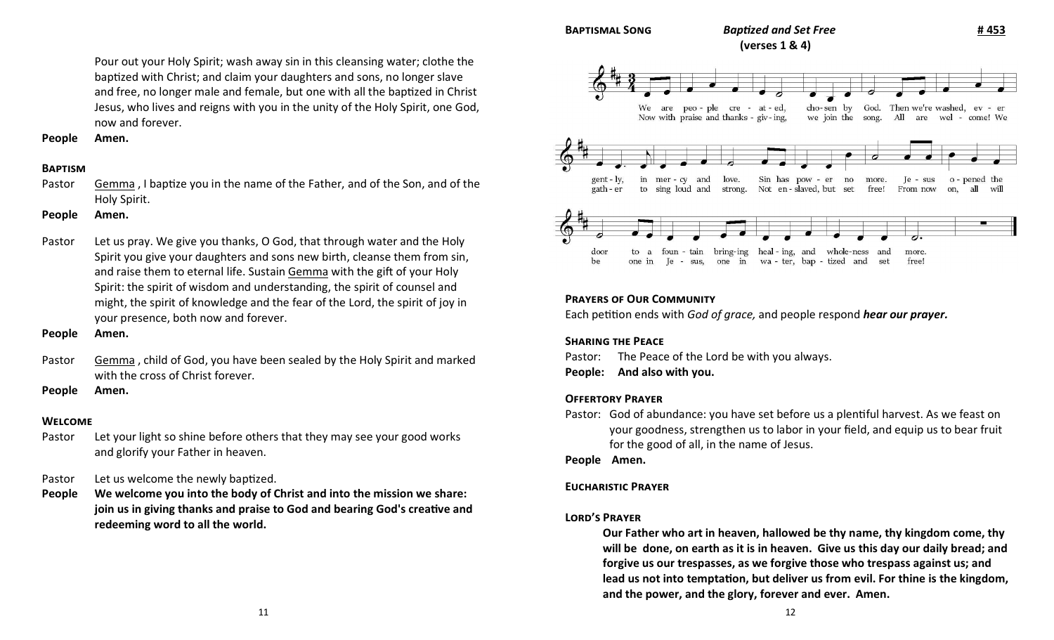Pour out your Holy Spirit; wash away sin in this cleansing water; clothe the baptized with Christ; and claim your daughters and sons, no longer slave and free, no longer male and female, but one with all the baptized in Christ Jesus, who lives and reigns with you in the unity of the Holy Spirit, one God, now and forever.

**People Amen.**

#### **BAPTISM**

Pastor Gemma, I baptize you in the name of the Father, and of the Son, and of the Holy Spirit.

**People Amen.**

Pastor Let us pray. We give you thanks, O God, that through water and the Holy Spirit you give your daughters and sons new birth, cleanse them from sin, and raise them to eternal life. Sustain Gemma with the gift of your Holy Spirit: the spirit of wisdom and understanding, the spirit of counsel and might, the spirit of knowledge and the fear of the Lord, the spirit of joy in your presence, both now and forever.

**People Amen.**

Pastor Gemma , child of God, you have been sealed by the Holy Spirit and marked with the cross of Christ forever.

**People Amen.**

### **WELCOME**

- Pastor Let your light so shine before others that they may see your good works and glorify your Father in heaven.
- Pastor Let us welcome the newly baptized.
- **People We welcome you into the body of Christ and into the mission we share: join** us in giving thanks and praise to God and bearing God's creative and **redeeming word to all the world.**



wa - ter, bap - tized and

set

free!

### **PRAYERS OF OUR COMMUNITY**

one in

Each petition ends with *God of grace*, and people respond *hear our prayer.* 

one in

#### **SHARING THE PEACE**

be

Pastor: The Peace of the Lord be with you always.

 $[e - sus,$ 

**People: And also with you.**

#### **OFFERTORY PRAYER**

Pastor: God of abundance: you have set before us a plenful harvest. As we feast on your goodness, strengthen us to labor in your field, and equip us to bear fruit for the good of all, in the name of Jesus.

**People Amen.**

#### **EUCHARISTIC PRAYER**

#### **LORD'S PRAYER**

**Our Father who art in heaven, hallowed be thy name, thy kingdom come, thy will be done, on earth as it is in heaven. Give us this day our daily bread; and forgive us our trespasses, as we forgive those who trespass against us; and lead** us not into temptation, but deliver us from evil. For thine is the kingdom, **and the power, and the glory, forever and ever. Amen.**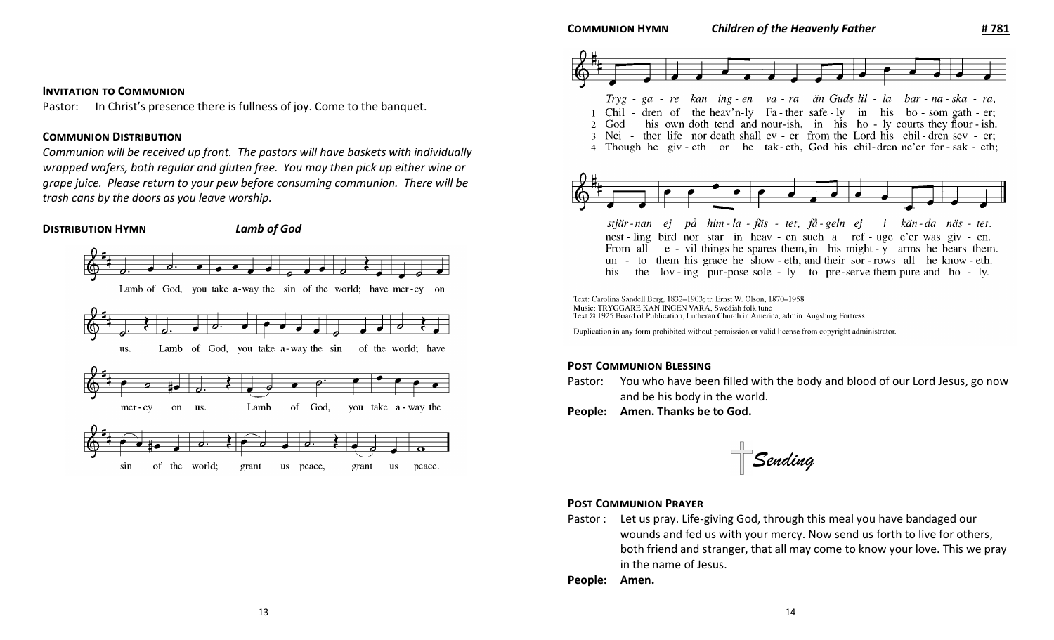

Pastor: In Christ's presence there is fullness of joy. Come to the banquet.

#### **COMMUNION DISTRIBUTION**

*Communion will be received up front. The pastors will have baskets with individually wrapped wafers, both regular and gluten free. You may then pick up either wine or grape juice. Please return to your pew before consuming communion. There will be trash cans by the doors as you leave worship.*

### **DISTRIBUTION HYMN** *Lamb of God*





$$
\bigg\Vert\mathcal{S}ending
$$

#### **POST COMMUNION PRAYER**

Pastor : Let us pray. Life-giving God, through this meal you have bandaged our wounds and fed us with your mercy. Now send us forth to live for others, both friend and stranger, that all may come to know your love. This we pray in the name of Jesus.

**People: Amen.**